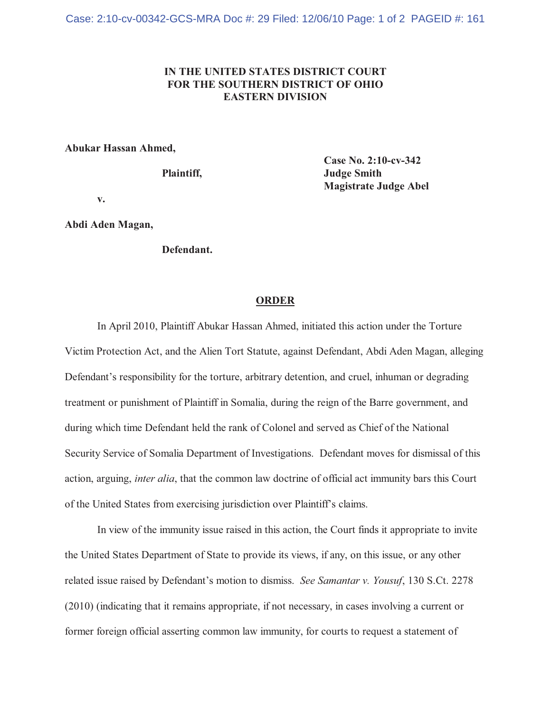## **IN THE UNITED STATES DISTRICT COURT FOR THE SOUTHERN DISTRICT OF OHIO EASTERN DIVISION**

## **Abukar Hassan Ahmed,**

**Case No. 2:10-cv-342** Plaintiff, Judge Smith **Magistrate Judge Abel**

**v.**

**Abdi Aden Magan,**

**Defendant.**

## **ORDER**

In April 2010, Plaintiff Abukar Hassan Ahmed, initiated this action under the Torture Victim Protection Act, and the Alien Tort Statute, against Defendant, Abdi Aden Magan, alleging Defendant's responsibility for the torture, arbitrary detention, and cruel, inhuman or degrading treatment or punishment of Plaintiff in Somalia, during the reign of the Barre government, and during which time Defendant held the rank of Colonel and served as Chief of the National Security Service of Somalia Department of Investigations. Defendant moves for dismissal of this action, arguing, *inter alia*, that the common law doctrine of official act immunity bars this Court of the United States from exercising jurisdiction over Plaintiff's claims.

In view of the immunity issue raised in this action, the Court finds it appropriate to invite the United States Department of State to provide its views, if any, on this issue, or any other related issue raised by Defendant's motion to dismiss. *See Samantar v. Yousuf*, 130 S.Ct. 2278 (2010) (indicating that it remains appropriate, if not necessary, in cases involving a current or former foreign official asserting common law immunity, for courts to request a statement of